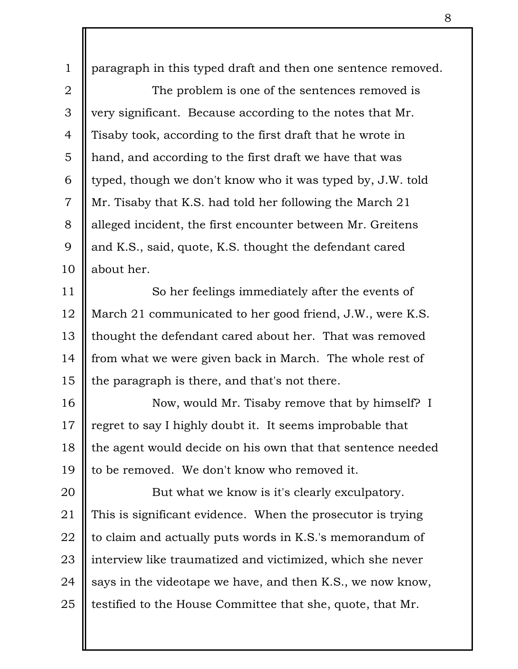paragraph in this typed draft and then one sentence removed. The problem is one of the sentences removed is very significant. Because according to the notes that Mr. Tisaby took, according to the first draft that he wrote in hand, and according to the first draft we have that was typed, though we don't know who it was typed by, J.W. told Mr. Tisaby that K.S. had told her following the March 21 alleged incident, the first encounter between Mr. Greitens and K.S., said, quote, K.S. thought the defendant cared about her. So her feelings immediately after the events of March 21 communicated to her good friend, J.W., were K.S. thought the defendant cared about her. That was removed from what we were given back in March. The whole rest of the paragraph is there, and that's not there. Now, would Mr. Tisaby remove that by himself? I 1 2 3 4 5 6 7 8 9 10 11 12 13 14 15 16

regret to say I highly doubt it. It seems improbable that the agent would decide on his own that that sentence needed to be removed. We don't know who removed it. 17 18 19

But what we know is it's clearly exculpatory. This is significant evidence. When the prosecutor is trying to claim and actually puts words in K.S.'s memorandum of interview like traumatized and victimized, which she never says in the videotape we have, and then K.S., we now know, testified to the House Committee that she, quote, that Mr. 20 21 22 23 24 25